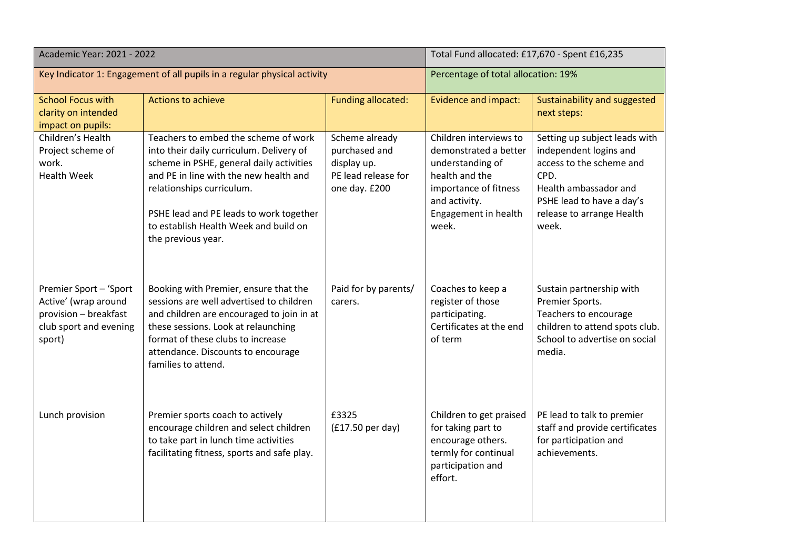| Academic Year: 2021 - 2022                                                                                  |                                                                                                                                                                                                                                                                                                               | Total Fund allocated: £17,670 - Spent £16,235                                          |                                                                                                                                                                  |                                                                                                                                                                                         |
|-------------------------------------------------------------------------------------------------------------|---------------------------------------------------------------------------------------------------------------------------------------------------------------------------------------------------------------------------------------------------------------------------------------------------------------|----------------------------------------------------------------------------------------|------------------------------------------------------------------------------------------------------------------------------------------------------------------|-----------------------------------------------------------------------------------------------------------------------------------------------------------------------------------------|
| Key Indicator 1: Engagement of all pupils in a regular physical activity                                    |                                                                                                                                                                                                                                                                                                               | Percentage of total allocation: 19%                                                    |                                                                                                                                                                  |                                                                                                                                                                                         |
| <b>School Focus with</b><br>clarity on intended<br>impact on pupils:                                        | Actions to achieve                                                                                                                                                                                                                                                                                            | <b>Funding allocated:</b>                                                              | <b>Evidence and impact:</b>                                                                                                                                      | Sustainability and suggested<br>next steps:                                                                                                                                             |
| Children's Health<br>Project scheme of<br>work.<br><b>Health Week</b>                                       | Teachers to embed the scheme of work<br>into their daily curriculum. Delivery of<br>scheme in PSHE, general daily activities<br>and PE in line with the new health and<br>relationships curriculum.<br>PSHE lead and PE leads to work together<br>to establish Health Week and build on<br>the previous year. | Scheme already<br>purchased and<br>display up.<br>PE lead release for<br>one day. £200 | Children interviews to<br>demonstrated a better<br>understanding of<br>health and the<br>importance of fitness<br>and activity.<br>Engagement in health<br>week. | Setting up subject leads with<br>independent logins and<br>access to the scheme and<br>CPD.<br>Health ambassador and<br>PSHE lead to have a day's<br>release to arrange Health<br>week. |
| Premier Sport - 'Sport<br>Active' (wrap around<br>provision - breakfast<br>club sport and evening<br>sport) | Booking with Premier, ensure that the<br>sessions are well advertised to children<br>and children are encouraged to join in at<br>these sessions. Look at relaunching<br>format of these clubs to increase<br>attendance. Discounts to encourage<br>families to attend.                                       | Paid for by parents/<br>carers.                                                        | Coaches to keep a<br>register of those<br>participating.<br>Certificates at the end<br>of term                                                                   | Sustain partnership with<br>Premier Sports.<br>Teachers to encourage<br>children to attend spots club.<br>School to advertise on social<br>media.                                       |
| Lunch provision                                                                                             | Premier sports coach to actively<br>encourage children and select children<br>to take part in lunch time activities<br>facilitating fitness, sports and safe play.                                                                                                                                            | £3325<br>(£17.50 per day)                                                              | Children to get praised<br>for taking part to<br>encourage others.<br>termly for continual<br>participation and<br>effort.                                       | PE lead to talk to premier<br>staff and provide certificates<br>for participation and<br>achievements.                                                                                  |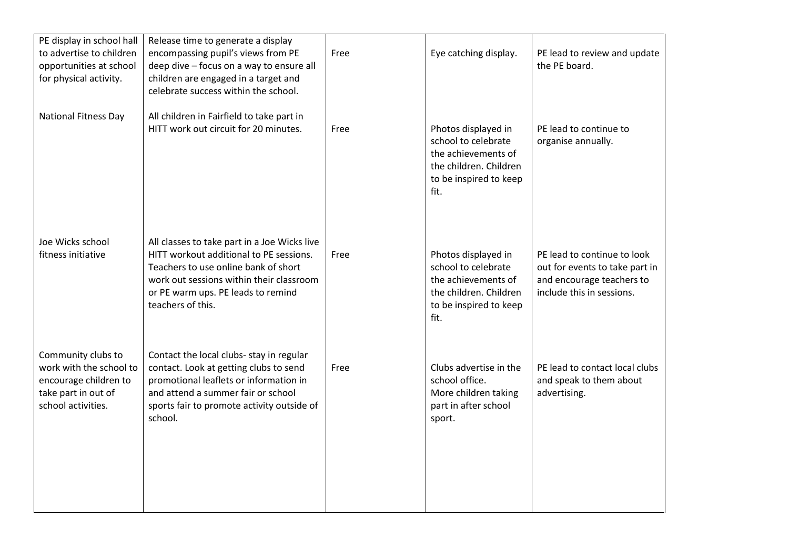| PE display in school hall<br>to advertise to children<br>opportunities at school<br>for physical activity.          | Release time to generate a display<br>encompassing pupil's views from PE<br>deep dive - focus on a way to ensure all<br>children are engaged in a target and<br>celebrate success within the school.                                   | Free | Eye catching display.                                                                                                         | PE lead to review and update<br>the PE board.                                                                           |
|---------------------------------------------------------------------------------------------------------------------|----------------------------------------------------------------------------------------------------------------------------------------------------------------------------------------------------------------------------------------|------|-------------------------------------------------------------------------------------------------------------------------------|-------------------------------------------------------------------------------------------------------------------------|
| <b>National Fitness Day</b>                                                                                         | All children in Fairfield to take part in<br>HITT work out circuit for 20 minutes.                                                                                                                                                     | Free | Photos displayed in<br>school to celebrate<br>the achievements of<br>the children. Children<br>to be inspired to keep<br>fit. | PE lead to continue to<br>organise annually.                                                                            |
| Joe Wicks school<br>fitness initiative                                                                              | All classes to take part in a Joe Wicks live<br>HITT workout additional to PE sessions.<br>Teachers to use online bank of short<br>work out sessions within their classroom<br>or PE warm ups. PE leads to remind<br>teachers of this. | Free | Photos displayed in<br>school to celebrate<br>the achievements of<br>the children. Children<br>to be inspired to keep<br>fit. | PE lead to continue to look<br>out for events to take part in<br>and encourage teachers to<br>include this in sessions. |
| Community clubs to<br>work with the school to<br>encourage children to<br>take part in out of<br>school activities. | Contact the local clubs- stay in regular<br>contact. Look at getting clubs to send<br>promotional leaflets or information in<br>and attend a summer fair or school<br>sports fair to promote activity outside of<br>school.            | Free | Clubs advertise in the<br>school office.<br>More children taking<br>part in after school<br>sport.                            | PE lead to contact local clubs<br>and speak to them about<br>advertising.                                               |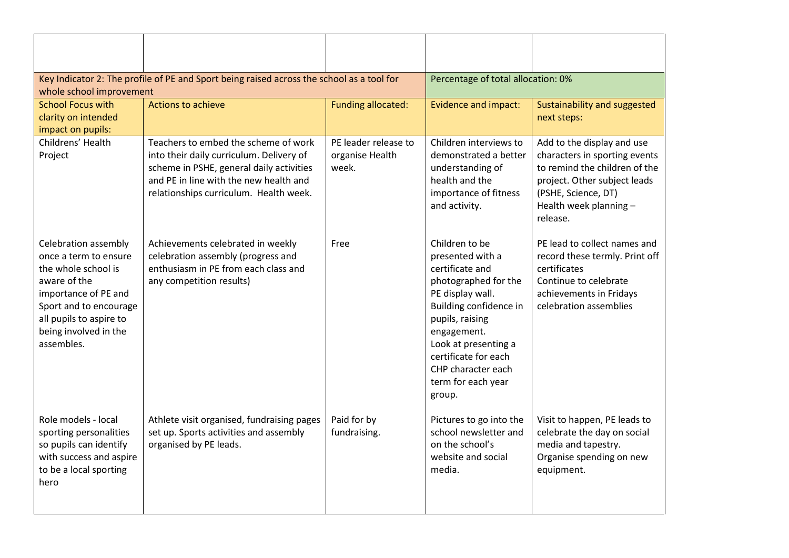| Key Indicator 2: The profile of PE and Sport being raised across the school as a tool for<br>whole school improvement                                                                                    |                                                                                                                                                                                                                  | Percentage of total allocation: 0%               |                                                                                                                                                                                                                                                                     |                                                                                                                                                                                           |
|----------------------------------------------------------------------------------------------------------------------------------------------------------------------------------------------------------|------------------------------------------------------------------------------------------------------------------------------------------------------------------------------------------------------------------|--------------------------------------------------|---------------------------------------------------------------------------------------------------------------------------------------------------------------------------------------------------------------------------------------------------------------------|-------------------------------------------------------------------------------------------------------------------------------------------------------------------------------------------|
| <b>School Focus with</b><br>clarity on intended<br>impact on pupils:                                                                                                                                     | <b>Actions to achieve</b>                                                                                                                                                                                        | <b>Funding allocated:</b>                        | <b>Evidence and impact:</b>                                                                                                                                                                                                                                         | Sustainability and suggested<br>next steps:                                                                                                                                               |
| Childrens' Health<br>Project                                                                                                                                                                             | Teachers to embed the scheme of work<br>into their daily curriculum. Delivery of<br>scheme in PSHE, general daily activities<br>and PE in line with the new health and<br>relationships curriculum. Health week. | PE leader release to<br>organise Health<br>week. | Children interviews to<br>demonstrated a better<br>understanding of<br>health and the<br>importance of fitness<br>and activity.                                                                                                                                     | Add to the display and use<br>characters in sporting events<br>to remind the children of the<br>project. Other subject leads<br>(PSHE, Science, DT)<br>Health week planning -<br>release. |
| Celebration assembly<br>once a term to ensure<br>the whole school is<br>aware of the<br>importance of PE and<br>Sport and to encourage<br>all pupils to aspire to<br>being involved in the<br>assembles. | Achievements celebrated in weekly<br>celebration assembly (progress and<br>enthusiasm in PE from each class and<br>any competition results)                                                                      | Free                                             | Children to be<br>presented with a<br>certificate and<br>photographed for the<br>PE display wall.<br>Building confidence in<br>pupils, raising<br>engagement.<br>Look at presenting a<br>certificate for each<br>CHP character each<br>term for each year<br>group. | PE lead to collect names and<br>record these termly. Print off<br>certificates<br>Continue to celebrate<br>achievements in Fridays<br>celebration assemblies                              |
| Role models - local<br>sporting personalities<br>so pupils can identify<br>with success and aspire<br>to be a local sporting<br>hero                                                                     | Athlete visit organised, fundraising pages<br>set up. Sports activities and assembly<br>organised by PE leads.                                                                                                   | Paid for by<br>fundraising.                      | Pictures to go into the<br>school newsletter and<br>on the school's<br>website and social<br>media.                                                                                                                                                                 | Visit to happen, PE leads to<br>celebrate the day on social<br>media and tapestry.<br>Organise spending on new<br>equipment.                                                              |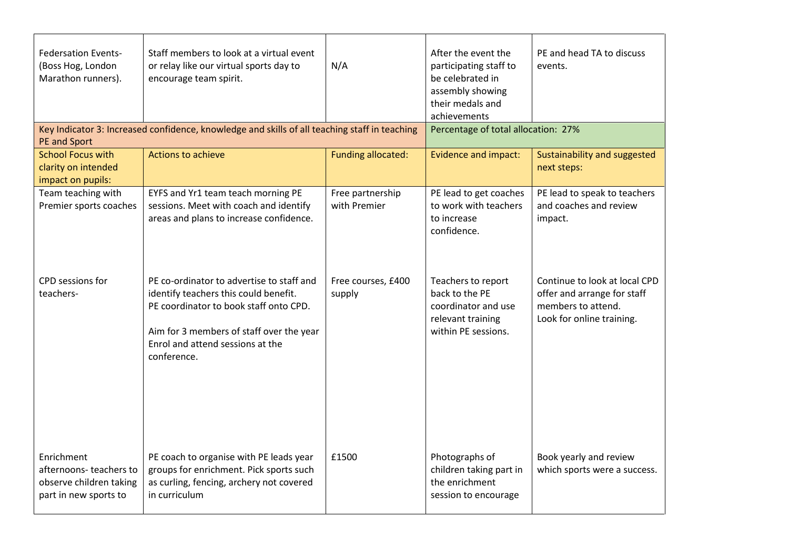| <b>Federsation Events-</b><br>(Boss Hog, London<br>Marathon runners).<br>PE and Sport    | Staff members to look at a virtual event<br>or relay like our virtual sports day to<br>encourage team spirit.<br>Key Indicator 3: Increased confidence, knowledge and skills of all teaching staff in teaching              | N/A                              | After the event the<br>participating staff to<br>be celebrated in<br>assembly showing<br>their medals and<br>achievements<br>Percentage of total allocation: 27% | PE and head TA to discuss<br>events.                                                                            |
|------------------------------------------------------------------------------------------|-----------------------------------------------------------------------------------------------------------------------------------------------------------------------------------------------------------------------------|----------------------------------|------------------------------------------------------------------------------------------------------------------------------------------------------------------|-----------------------------------------------------------------------------------------------------------------|
| <b>School Focus with</b><br>clarity on intended<br>impact on pupils:                     | Actions to achieve                                                                                                                                                                                                          | <b>Funding allocated:</b>        | <b>Evidence and impact:</b>                                                                                                                                      | Sustainability and suggested<br>next steps:                                                                     |
| Team teaching with<br>Premier sports coaches                                             | EYFS and Yr1 team teach morning PE<br>sessions. Meet with coach and identify<br>areas and plans to increase confidence.                                                                                                     | Free partnership<br>with Premier | PE lead to get coaches<br>to work with teachers<br>to increase<br>confidence.                                                                                    | PE lead to speak to teachers<br>and coaches and review<br>impact.                                               |
| CPD sessions for<br>teachers-                                                            | PE co-ordinator to advertise to staff and<br>identify teachers this could benefit.<br>PE coordinator to book staff onto CPD.<br>Aim for 3 members of staff over the year<br>Enrol and attend sessions at the<br>conference. | Free courses, £400<br>supply     | Teachers to report<br>back to the PE<br>coordinator and use<br>relevant training<br>within PE sessions.                                                          | Continue to look at local CPD<br>offer and arrange for staff<br>members to attend.<br>Look for online training. |
| Enrichment<br>afternoons-teachers to<br>observe children taking<br>part in new sports to | PE coach to organise with PE leads year<br>groups for enrichment. Pick sports such<br>as curling, fencing, archery not covered<br>in curriculum                                                                             | £1500                            | Photographs of<br>children taking part in<br>the enrichment<br>session to encourage                                                                              | Book yearly and review<br>which sports were a success.                                                          |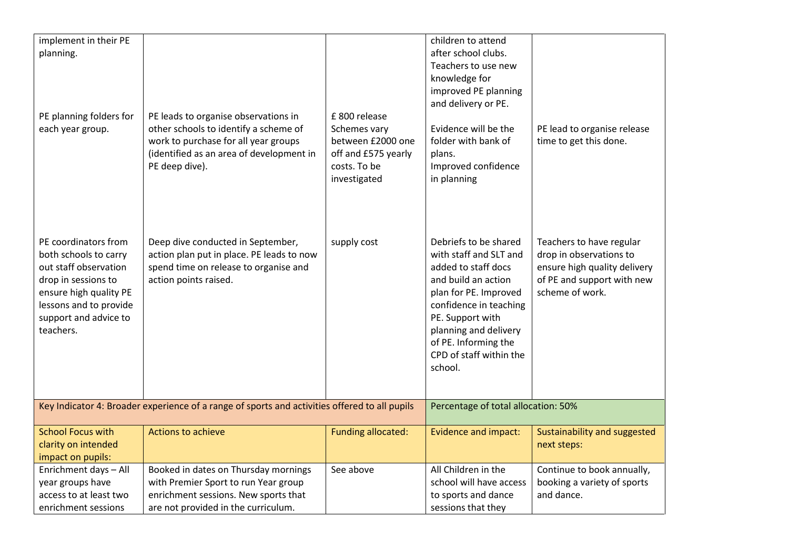| implement in their PE<br>planning.<br>PE planning folders for<br>each year group.                                                                                                       | PE leads to organise observations in<br>other schools to identify a scheme of<br>work to purchase for all year groups<br>(identified as an area of development in  | £800 release<br>Schemes vary<br>between £2000 one<br>off and £575 yearly | children to attend<br>after school clubs.<br>Teachers to use new<br>knowledge for<br>improved PE planning<br>and delivery or PE.<br>Evidence will be the<br>folder with bank of<br>plans.                                                                                                         | PE lead to organise release<br>time to get this done.                                                                                |
|-----------------------------------------------------------------------------------------------------------------------------------------------------------------------------------------|--------------------------------------------------------------------------------------------------------------------------------------------------------------------|--------------------------------------------------------------------------|---------------------------------------------------------------------------------------------------------------------------------------------------------------------------------------------------------------------------------------------------------------------------------------------------|--------------------------------------------------------------------------------------------------------------------------------------|
| PE coordinators from<br>both schools to carry<br>out staff observation<br>drop in sessions to<br>ensure high quality PE<br>lessons and to provide<br>support and advice to<br>teachers. | PE deep dive).<br>Deep dive conducted in September,<br>action plan put in place. PE leads to now<br>spend time on release to organise and<br>action points raised. | costs. To be<br>investigated<br>supply cost                              | Improved confidence<br>in planning<br>Debriefs to be shared<br>with staff and SLT and<br>added to staff docs<br>and build an action<br>plan for PE. Improved<br>confidence in teaching<br>PE. Support with<br>planning and delivery<br>of PE. Informing the<br>CPD of staff within the<br>school. | Teachers to have regular<br>drop in observations to<br>ensure high quality delivery<br>of PE and support with new<br>scheme of work. |
|                                                                                                                                                                                         | Key Indicator 4: Broader experience of a range of sports and activities offered to all pupils                                                                      |                                                                          | Percentage of total allocation: 50%                                                                                                                                                                                                                                                               |                                                                                                                                      |
| <b>School Focus with</b><br>clarity on intended<br>impact on pupils:                                                                                                                    | <b>Actions to achieve</b>                                                                                                                                          | <b>Funding allocated:</b>                                                | <b>Evidence and impact:</b>                                                                                                                                                                                                                                                                       | Sustainability and suggested<br>next steps:                                                                                          |
| Enrichment days - All<br>year groups have<br>access to at least two<br>enrichment sessions                                                                                              | Booked in dates on Thursday mornings<br>with Premier Sport to run Year group<br>enrichment sessions. New sports that<br>are not provided in the curriculum.        | See above                                                                | All Children in the<br>school will have access<br>to sports and dance<br>sessions that they                                                                                                                                                                                                       | Continue to book annually,<br>booking a variety of sports<br>and dance.                                                              |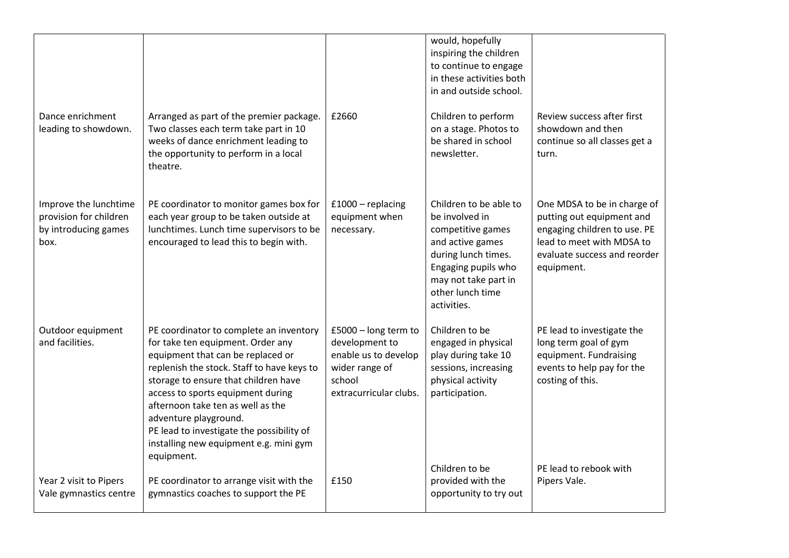|                                                                                 |                                                                                                                                                                                                                                                                                                                                                                                                                 |                                                                                                                      | would, hopefully<br>inspiring the children<br>to continue to engage<br>in these activities both<br>in and outside school.                                                                  |                                                                                                                                                                     |
|---------------------------------------------------------------------------------|-----------------------------------------------------------------------------------------------------------------------------------------------------------------------------------------------------------------------------------------------------------------------------------------------------------------------------------------------------------------------------------------------------------------|----------------------------------------------------------------------------------------------------------------------|--------------------------------------------------------------------------------------------------------------------------------------------------------------------------------------------|---------------------------------------------------------------------------------------------------------------------------------------------------------------------|
| Dance enrichment<br>leading to showdown.                                        | Arranged as part of the premier package.<br>Two classes each term take part in 10<br>weeks of dance enrichment leading to<br>the opportunity to perform in a local<br>theatre.                                                                                                                                                                                                                                  | £2660                                                                                                                | Children to perform<br>on a stage. Photos to<br>be shared in school<br>newsletter.                                                                                                         | Review success after first<br>showdown and then<br>continue so all classes get a<br>turn.                                                                           |
| Improve the lunchtime<br>provision for children<br>by introducing games<br>box. | PE coordinator to monitor games box for<br>each year group to be taken outside at<br>lunchtimes. Lunch time supervisors to be<br>encouraged to lead this to begin with.                                                                                                                                                                                                                                         | $£1000 - replacing$<br>equipment when<br>necessary.                                                                  | Children to be able to<br>be involved in<br>competitive games<br>and active games<br>during lunch times.<br>Engaging pupils who<br>may not take part in<br>other lunch time<br>activities. | One MDSA to be in charge of<br>putting out equipment and<br>engaging children to use. PE<br>lead to meet with MDSA to<br>evaluate success and reorder<br>equipment. |
| Outdoor equipment<br>and facilities.                                            | PE coordinator to complete an inventory<br>for take ten equipment. Order any<br>equipment that can be replaced or<br>replenish the stock. Staff to have keys to<br>storage to ensure that children have<br>access to sports equipment during<br>afternoon take ten as well as the<br>adventure playground.<br>PE lead to investigate the possibility of<br>installing new equipment e.g. mini gym<br>equipment. | £5000 - long term to<br>development to<br>enable us to develop<br>wider range of<br>school<br>extracurricular clubs. | Children to be<br>engaged in physical<br>play during take 10<br>sessions, increasing<br>physical activity<br>participation.                                                                | PE lead to investigate the<br>long term goal of gym<br>equipment. Fundraising<br>events to help pay for the<br>costing of this.                                     |
| Year 2 visit to Pipers<br>Vale gymnastics centre                                | PE coordinator to arrange visit with the<br>gymnastics coaches to support the PE                                                                                                                                                                                                                                                                                                                                | £150                                                                                                                 | Children to be<br>provided with the<br>opportunity to try out                                                                                                                              | PE lead to rebook with<br>Pipers Vale.                                                                                                                              |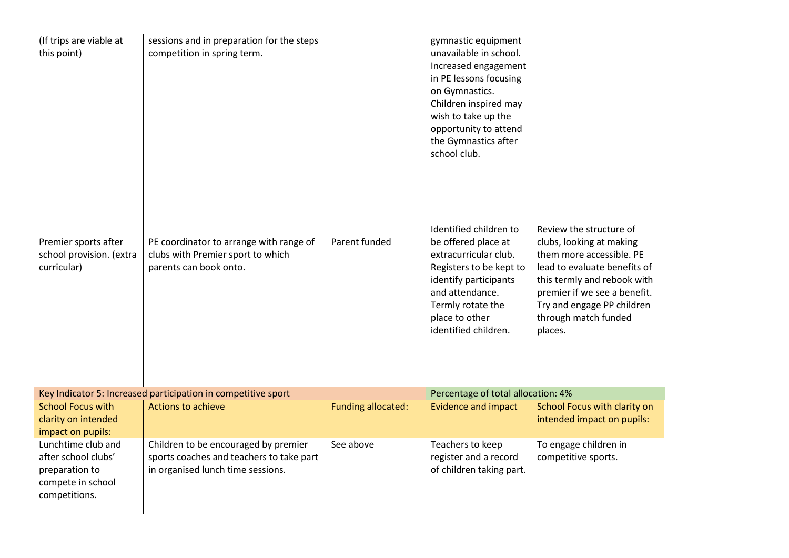| (If trips are viable at<br>this point)                                                            | sessions and in preparation for the steps<br>competition in spring term.                                              |                           | gymnastic equipment<br>unavailable in school.<br>Increased engagement<br>in PE lessons focusing<br>on Gymnastics.<br>Children inspired may<br>wish to take up the<br>opportunity to attend |                                                                                                                                                                                                                      |
|---------------------------------------------------------------------------------------------------|-----------------------------------------------------------------------------------------------------------------------|---------------------------|--------------------------------------------------------------------------------------------------------------------------------------------------------------------------------------------|----------------------------------------------------------------------------------------------------------------------------------------------------------------------------------------------------------------------|
|                                                                                                   |                                                                                                                       |                           | the Gymnastics after<br>school club.<br>Identified children to                                                                                                                             | Review the structure of                                                                                                                                                                                              |
| Premier sports after<br>school provision. (extra<br>curricular)                                   | PE coordinator to arrange with range of<br>clubs with Premier sport to which<br>parents can book onto.                | Parent funded             | be offered place at<br>extracurricular club.<br>Registers to be kept to<br>identify participants<br>and attendance.<br>Termly rotate the<br>place to other<br>identified children.         | clubs, looking at making<br>them more accessible. PE<br>lead to evaluate benefits of<br>this termly and rebook with<br>premier if we see a benefit.<br>Try and engage PP children<br>through match funded<br>places. |
|                                                                                                   | Key Indicator 5: Increased participation in competitive sport                                                         |                           | Percentage of total allocation: 4%                                                                                                                                                         |                                                                                                                                                                                                                      |
| <b>School Focus with</b><br>clarity on intended<br>impact on pupils:                              | <b>Actions to achieve</b>                                                                                             | <b>Funding allocated:</b> | <b>Evidence and impact</b>                                                                                                                                                                 | School Focus with clarity on<br>intended impact on pupils:                                                                                                                                                           |
| Lunchtime club and<br>after school clubs'<br>preparation to<br>compete in school<br>competitions. | Children to be encouraged by premier<br>sports coaches and teachers to take part<br>in organised lunch time sessions. | See above                 | Teachers to keep<br>register and a record<br>of children taking part.                                                                                                                      | To engage children in<br>competitive sports.                                                                                                                                                                         |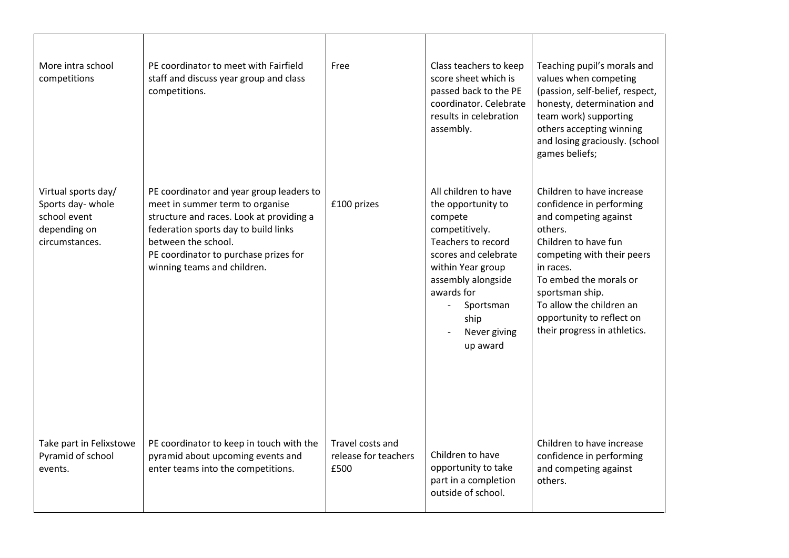| More intra school<br>competitions                                                          | PE coordinator to meet with Fairfield<br>staff and discuss year group and class<br>competitions.                                                                                                                                                               | Free                                             | Class teachers to keep<br>score sheet which is<br>passed back to the PE<br>coordinator. Celebrate<br>results in celebration<br>assembly.                                                                                                                    | Teaching pupil's morals and<br>values when competing<br>(passion, self-belief, respect,<br>honesty, determination and<br>team work) supporting<br>others accepting winning<br>and losing graciously. (school<br>games beliefs;                                                                     |
|--------------------------------------------------------------------------------------------|----------------------------------------------------------------------------------------------------------------------------------------------------------------------------------------------------------------------------------------------------------------|--------------------------------------------------|-------------------------------------------------------------------------------------------------------------------------------------------------------------------------------------------------------------------------------------------------------------|----------------------------------------------------------------------------------------------------------------------------------------------------------------------------------------------------------------------------------------------------------------------------------------------------|
| Virtual sports day/<br>Sports day- whole<br>school event<br>depending on<br>circumstances. | PE coordinator and year group leaders to<br>meet in summer term to organise<br>structure and races. Look at providing a<br>federation sports day to build links<br>between the school.<br>PE coordinator to purchase prizes for<br>winning teams and children. | £100 prizes                                      | All children to have<br>the opportunity to<br>compete<br>competitively.<br>Teachers to record<br>scores and celebrate<br>within Year group<br>assembly alongside<br>awards for<br>Sportsman<br>$\overline{\phantom{0}}$<br>ship<br>Never giving<br>up award | Children to have increase<br>confidence in performing<br>and competing against<br>others.<br>Children to have fun<br>competing with their peers<br>in races.<br>To embed the morals or<br>sportsman ship.<br>To allow the children an<br>opportunity to reflect on<br>their progress in athletics. |
| Take part in Felixstowe<br>Pyramid of school<br>events.                                    | PE coordinator to keep in touch with the<br>pyramid about upcoming events and<br>enter teams into the competitions.                                                                                                                                            | Travel costs and<br>release for teachers<br>£500 | Children to have<br>opportunity to take<br>part in a completion<br>outside of school.                                                                                                                                                                       | Children to have increase<br>confidence in performing<br>and competing against<br>others.                                                                                                                                                                                                          |